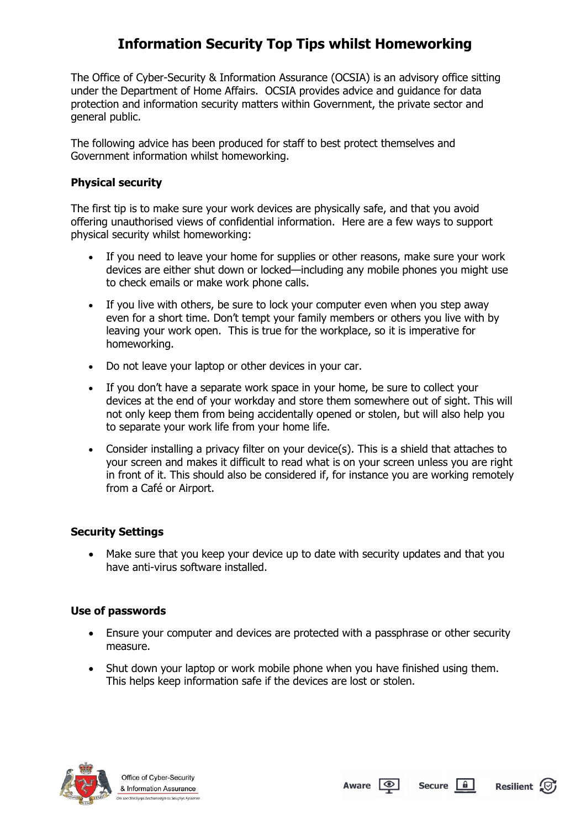# **Information Security Top Tips whilst Homeworking**

The Office of Cyber-Security & Information Assurance (OCSIA) is an advisory office sitting under the Department of Home Affairs. OCSIA provides advice and guidance for data protection and information security matters within Government, the private sector and general public.

The following advice has been produced for staff to best protect themselves and Government information whilst homeworking.

### **Physical security**

The first tip is to make sure your work devices are physically safe, and that you avoid offering unauthorised views of confidential information. Here are a few ways to support physical security whilst homeworking:

- If you need to leave your home for supplies or other reasons, make sure your work devices are either shut down or locked—including any mobile phones you might use to check emails or make work phone calls.
- If you live with others, be sure to lock your computer even when you step away even for a short time. Don't tempt your family members or others you live with by leaving your work open. This is true for the workplace, so it is imperative for homeworking.
- Do not leave your laptop or other devices in your car.
- If you don't have a separate work space in your home, be sure to collect your devices at the end of your workday and store them somewhere out of sight. This will not only keep them from being accidentally opened or stolen, but will also help you to separate your work life from your home life.
- Consider installing a privacy filter on your device(s). This is a shield that attaches to your screen and makes it difficult to read what is on your screen unless you are right in front of it. This should also be considered if, for instance you are working remotely from a Café or Airport.

## **Security Settings**

• Make sure that you keep your device up to date with security updates and that you have anti-virus software installed.

### **Use of passwords**

- Ensure your computer and devices are protected with a passphrase or other security measure.
- Shut down your laptop or work mobile phone when you have finished using them. This helps keep information safe if the devices are lost or stolen.



Office of Cyber-Security & Information Assurance